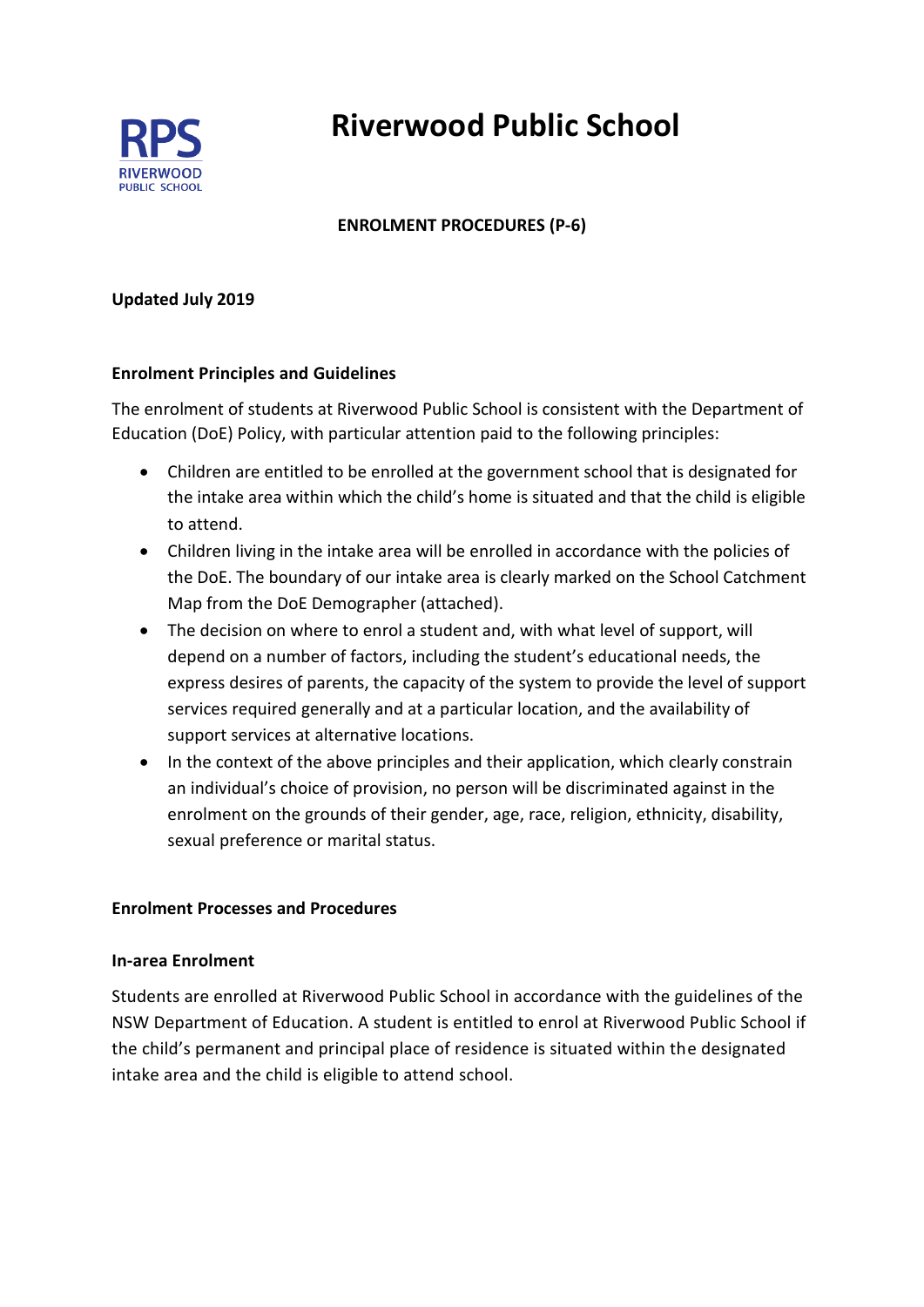

# **Riverwood Public School**

# **ENROLMENT PROCEDURES (P-6)**

#### **Updated July 2019**

#### **Enrolment Principles and Guidelines**

The enrolment of students at Riverwood Public School is consistent with the Department of Education (DoE) Policy, with particular attention paid to the following principles:

- Children are entitled to be enrolled at the government school that is designated for the intake area within which the child's home is situated and that the child is eligible to attend.
- Children living in the intake area will be enrolled in accordance with the policies of the DoE. The boundary of our intake area is clearly marked on the School Catchment Map from the DoE Demographer (attached).
- The decision on where to enrol a student and, with what level of support, will depend on a number of factors, including the student's educational needs, the express desires of parents, the capacity of the system to provide the level of support services required generally and at a particular location, and the availability of support services at alternative locations.
- In the context of the above principles and their application, which clearly constrain an individual's choice of provision, no person will be discriminated against in the enrolment on the grounds of their gender, age, race, religion, ethnicity, disability, sexual preference or marital status.

#### **Enrolment Processes and Procedures**

#### **In-area Enrolment**

Students are enrolled at Riverwood Public School in accordance with the guidelines of the NSW Department of Education. A student is entitled to enrol at Riverwood Public School if the child's permanent and principal place of residence is situated within the designated intake area and the child is eligible to attend school.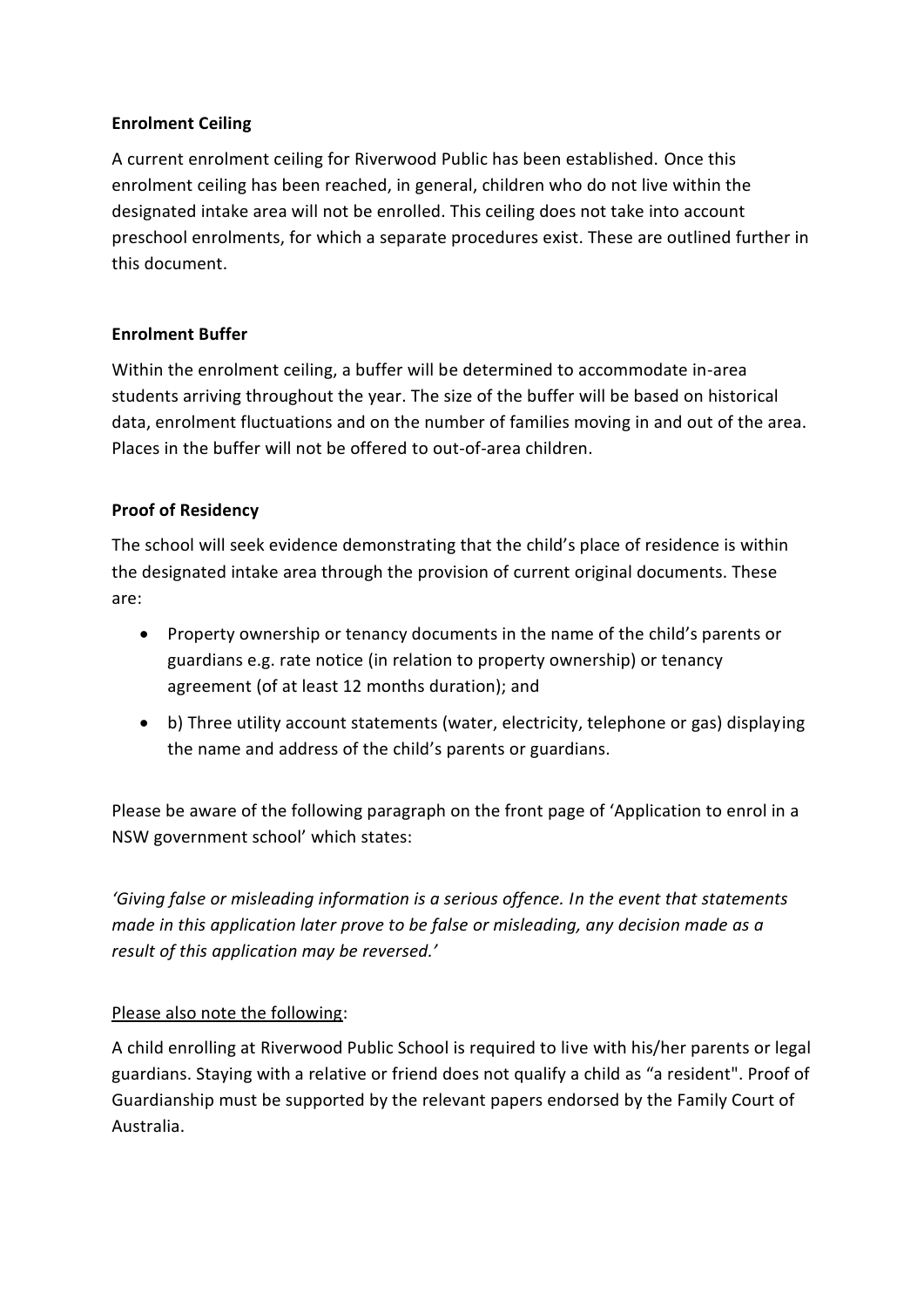### **Enrolment Ceiling**

A current enrolment ceiling for Riverwood Public has been established. Once this enrolment ceiling has been reached, in general, children who do not live within the designated intake area will not be enrolled. This ceiling does not take into account preschool enrolments, for which a separate procedures exist. These are outlined further in this document.

## **Enrolment Buffer**

Within the enrolment ceiling, a buffer will be determined to accommodate in-area students arriving throughout the year. The size of the buffer will be based on historical data, enrolment fluctuations and on the number of families moving in and out of the area. Places in the buffer will not be offered to out-of-area children.

## **Proof of Residency**

The school will seek evidence demonstrating that the child's place of residence is within the designated intake area through the provision of current original documents. These are:

- Property ownership or tenancy documents in the name of the child's parents or guardians e.g. rate notice (in relation to property ownership) or tenancy agreement (of at least 12 months duration); and
- b) Three utility account statements (water, electricity, telephone or gas) displaying the name and address of the child's parents or guardians.

Please be aware of the following paragraph on the front page of 'Application to enrol in a NSW government school' which states:

*'Giving false or misleading information is a serious offence. In the event that statements made in this application later prove to be false or misleading, any decision made as a result of this application may be reversed.'*

## Please also note the following:

A child enrolling at Riverwood Public School is required to live with his/her parents or legal guardians. Staying with a relative or friend does not qualify a child as "a resident". Proof of Guardianship must be supported by the relevant papers endorsed by the Family Court of Australia.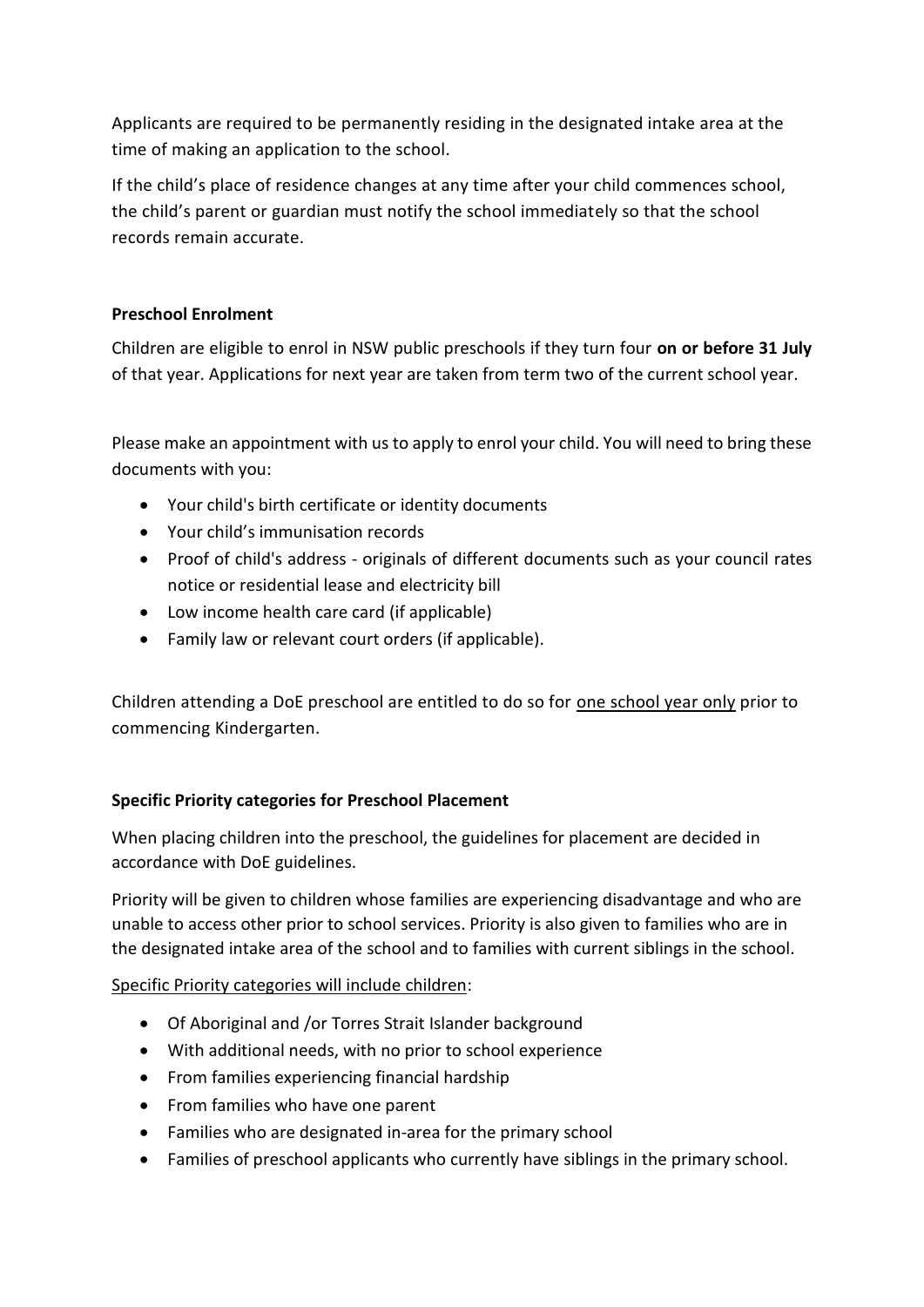Applicants are required to be permanently residing in the designated intake area at the time of making an application to the school.

If the child's place of residence changes at any time after your child commences school, the child's parent or guardian must notify the school immediately so that the school records remain accurate.

## **Preschool Enrolment**

Children are eligible to enrol in NSW public preschools if they turn four **on or before 31 July** of that year. Applications for next year are taken from term two of the current school year.

Please make an appointment with us to apply to enrol your child. You will need to bring these documents with you:

- Your child's birth certificate or identity documents
- Your child's immunisation records
- Proof of child's address originals of different documents such as your council rates notice or residential lease and electricity bill
- Low income health care card (if applicable)
- Family law or relevant court orders (if applicable).

Children attending a DoE preschool are entitled to do so for one school year only prior to commencing Kindergarten.

## **Specific Priority categories for Preschool Placement**

When placing children into the preschool, the guidelines for placement are decided in accordance with DoE guidelines.

Priority will be given to children whose families are experiencing disadvantage and who are unable to access other prior to school services. Priority is also given to families who are in the designated intake area of the school and to families with current siblings in the school.

#### Specific Priority categories will include children:

- Of Aboriginal and /or Torres Strait Islander background
- With additional needs, with no prior to school experience
- From families experiencing financial hardship
- From families who have one parent
- Families who are designated in-area for the primary school
- Families of preschool applicants who currently have siblings in the primary school.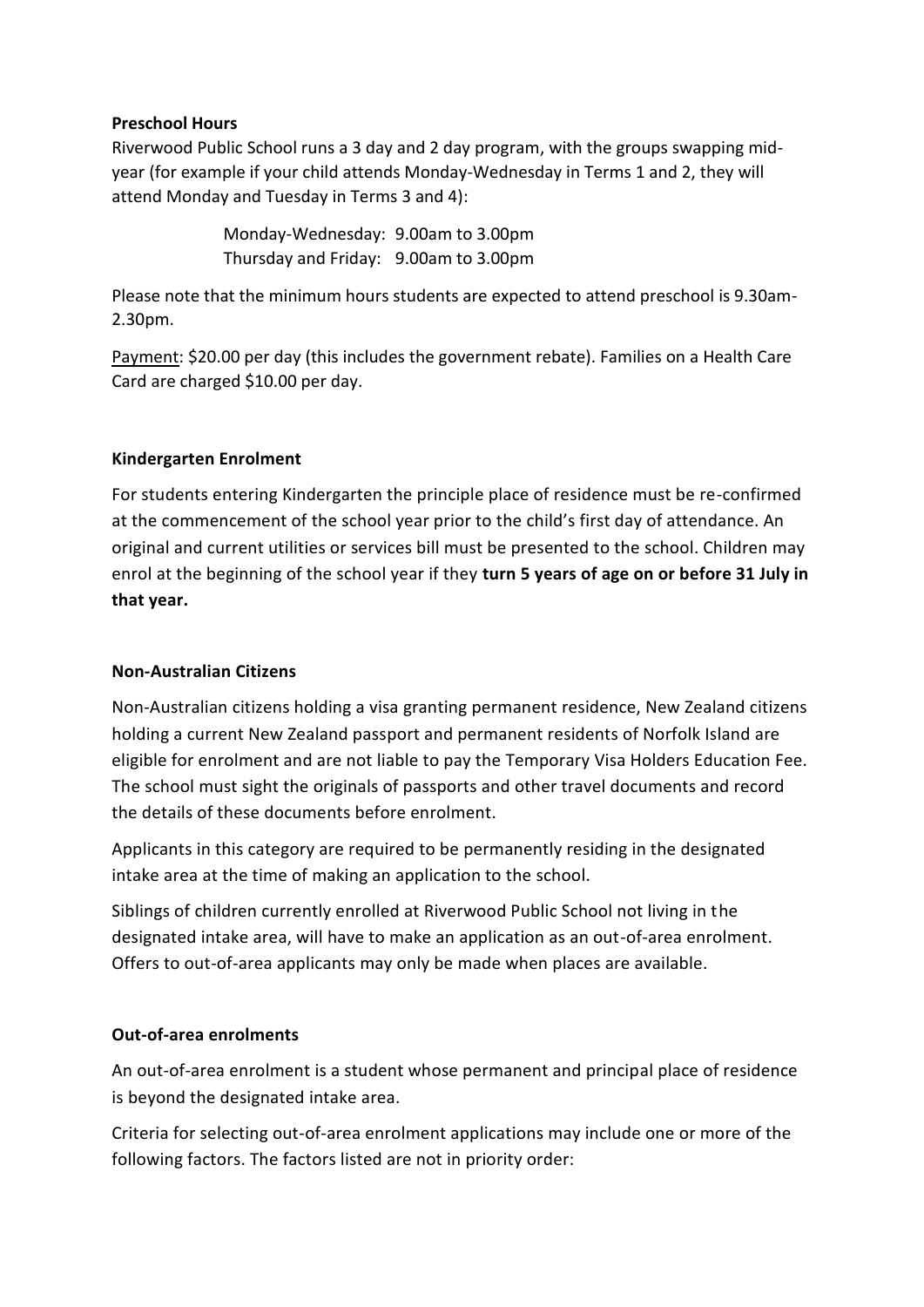#### **Preschool Hours**

Riverwood Public School runs a 3 day and 2 day program, with the groups swapping midyear (for example if your child attends Monday-Wednesday in Terms 1 and 2, they will attend Monday and Tuesday in Terms 3 and 4):

> Monday-Wednesday: 9.00am to 3.00pm Thursday and Friday: 9.00am to 3.00pm

Please note that the minimum hours students are expected to attend preschool is 9.30am-2.30pm.

Payment: \$20.00 per day (this includes the government rebate). Families on a Health Care Card are charged \$10.00 per day.

#### **Kindergarten Enrolment**

For students entering Kindergarten the principle place of residence must be re-confirmed at the commencement of the school year prior to the child's first day of attendance. An original and current utilities or services bill must be presented to the school. Children may enrol at the beginning of the school year if they **turn 5 years of age on or before 31 July in that year.**

#### **Non-Australian Citizens**

Non-Australian citizens holding a visa granting permanent residence, New Zealand citizens holding a current New Zealand passport and permanent residents of Norfolk Island are eligible for enrolment and are not liable to pay the Temporary Visa Holders Education Fee. The school must sight the originals of passports and other travel documents and record the details of these documents before enrolment.

Applicants in this category are required to be permanently residing in the designated intake area at the time of making an application to the school.

Siblings of children currently enrolled at Riverwood Public School not living in the designated intake area, will have to make an application as an out-of-area enrolment. Offers to out-of-area applicants may only be made when places are available.

#### **Out-of-area enrolments**

An out-of-area enrolment is a student whose permanent and principal place of residence is beyond the designated intake area.

Criteria for selecting out-of-area enrolment applications may include one or more of the following factors. The factors listed are not in priority order: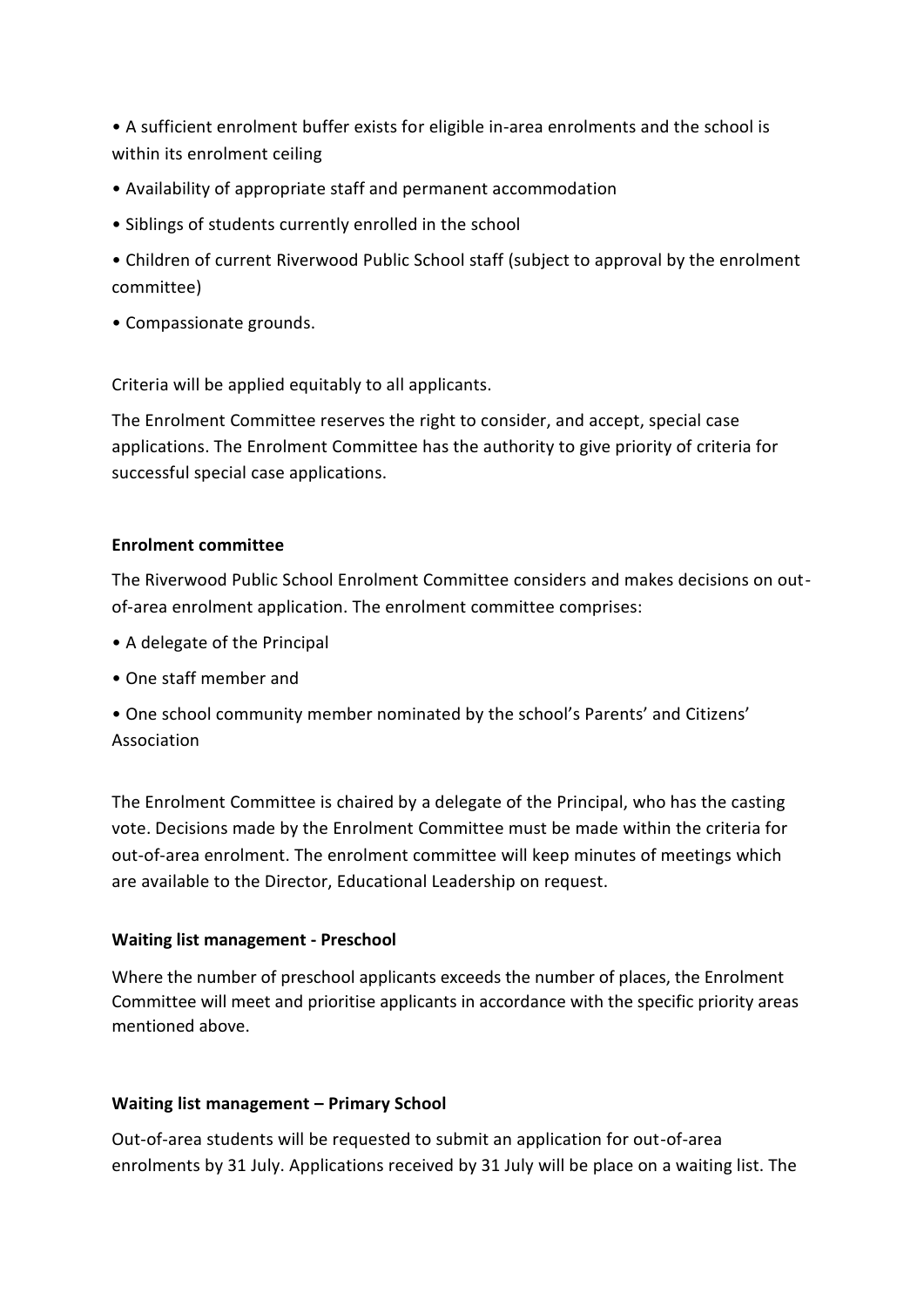• A sufficient enrolment buffer exists for eligible in-area enrolments and the school is within its enrolment ceiling

- Availability of appropriate staff and permanent accommodation
- Siblings of students currently enrolled in the school
- Children of current Riverwood Public School staff (subject to approval by the enrolment committee)
- Compassionate grounds.

Criteria will be applied equitably to all applicants.

The Enrolment Committee reserves the right to consider, and accept, special case applications. The Enrolment Committee has the authority to give priority of criteria for successful special case applications.

#### **Enrolment committee**

The Riverwood Public School Enrolment Committee considers and makes decisions on outof-area enrolment application. The enrolment committee comprises:

- A delegate of the Principal
- One staff member and
- One school community member nominated by the school's Parents' and Citizens' Association

The Enrolment Committee is chaired by a delegate of the Principal, who has the casting vote. Decisions made by the Enrolment Committee must be made within the criteria for out-of-area enrolment. The enrolment committee will keep minutes of meetings which are available to the Director, Educational Leadership on request.

#### **Waiting list management - Preschool**

Where the number of preschool applicants exceeds the number of places, the Enrolment Committee will meet and prioritise applicants in accordance with the specific priority areas mentioned above.

#### **Waiting list management – Primary School**

Out-of-area students will be requested to submit an application for out-of-area enrolments by 31 July. Applications received by 31 July will be place on a waiting list. The